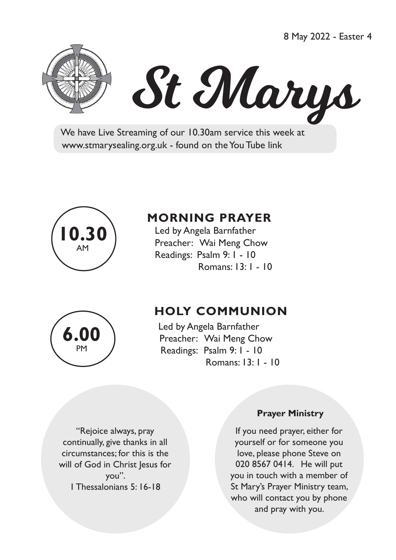8 May 2022 - Easter 4





 We have Live Streaming of our 10.30am service this week at www.stmarysealing.org.uk - found on the You Tube link



# **MORNING PRAYER**

 Led by Angela Barnfather Preacher: Wai Meng Chow Readings: Psalm 9: 1 - 10 Romans: 13: 1 - 10



# **HOLY COMMUNION**

Led by Angela Barnfather Preacher: Wai Meng Chow Readings: Psalm 9: 1 - 10 Romans: 13: 1 - 10

"Rejoice always, pray continually, give thanks in all circumstances; for this is the will of God in Christ Jesus for you". 1 Thessalonians 5: 16-18

#### **Prayer Ministry**

If you need prayer, either for yourself or for someone you love, please phone Steve on 020 8567 0414. He will put you in touch with a member of St Mary's Prayer Ministry team, who will contact you by phone and pray with you.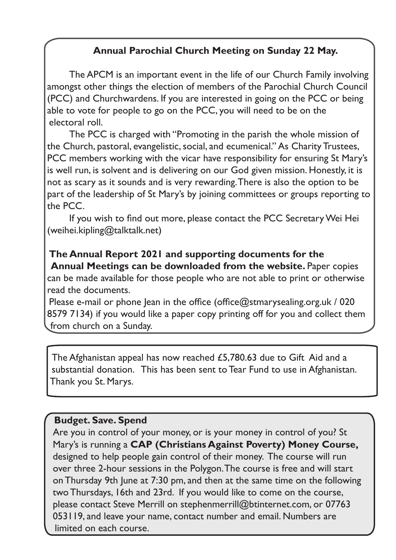## **Annual Parochial Church Meeting on Sunday 22 May.**

The APCM is an important event in the life of our Church Family involving amongst other things the election of members of the Parochial Church Council (PCC) and Churchwardens. If you are interested in going on the PCC or being able to vote for people to go on the PCC, you will need to be on the electoral roll.

The PCC is charged with "Promoting in the parish the whole mission of the Church, pastoral, evangelistic, social, and ecumenical." As Charity Trustees, PCC members working with the vicar have responsibility for ensuring St Mary's is well run, is solvent and is delivering on our God given mission. Honestly, it is not as scary as it sounds and is very rewarding. There is also the option to be part of the leadership of St Mary's by joining committees or groups reporting to the PCC.

 If you wish to find out more, please contact the PCC SecretaryWei Hei (weihei.kipling@talktalk.net)

### **The Annual Report 2021 and supporting documents for the Annual Meetings can be downloaded from the website. Paper copies** can be made available for those people who are not able to print or otherwise

read the documents.

Please e-mail or phone Jean in the office (office $@$ stmarysealing.org.uk / 020 8579 7134) if you would like a paper copy printing off for you and collect them from church on a Sunday.

The Afghanistan appeal has now reached £5,780.63 due to Gift Aid and a substantial donation. This has been sent to Tear Fund to use in Afghanistan. Thank you St. Marys.

### **Budget. Save. Spend**

Are you in control of your money, or is your money in control of you? St Mary's is running a **CAP (Christians Against Poverty) Money Course,** designed to help people gain control of their money. The course will run over three 2-hour sessions in the Polygon. The course is free and will start on Thursday 9th June at 7:30 pm, and then at the same time on the following two Thursdays, 16th and 23rd. If you would like to come on the course, please contact Steve Merrill on stephenmerrill@btinternet.com, or 07763 053119, and leave your name, contact number and email. Numbers are limited on each course.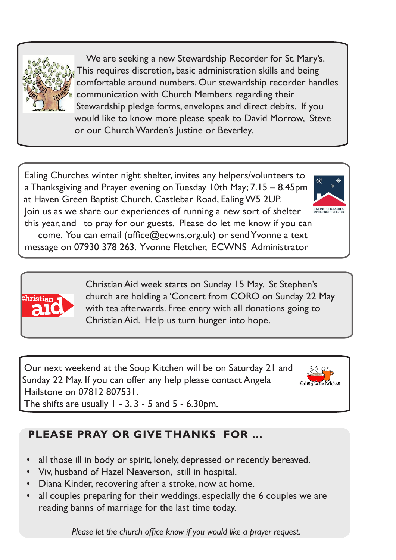

 We are seeking a new Stewardship Recorder for St. Mary's. This requires discretion, basic administration skills and being comfortable around numbers. Our stewardship recorder handles communication with Church Members regarding their Stewardship pledge forms, envelopes and direct debits. If you would like to know more please speak to David Morrow, Steve or our Church Warden's Justine or Beverley.

Ealing Churches winter night shelter, invites any helpers/volunteers to a Thanksgiving and Prayer evening on Tuesday 10th May; 7.15 – 8.45pm at Haven Green Baptist Church, Castlebar Road, Ealing W5 2UP. Join us as we share our experiences of running a new sort of shelter this year, and to pray for our guests. Please do let me know if you can come. You can email (office@ecwns.org.uk) or sendYvonne a text message on 07930 378 263. Yvonne Fletcher, ECWNS Administrator



 Christian Aid week starts on Sunday 15 May. St Stephen's church are holding a 'Concert from CORO on Sunday 22 May with tea afterwards. Free entry with all donations going to Christian Aid. Help us turn hunger into hope.

Our next weekend at the Soup Kitchen will be on Saturday 21 and Sunday 22 May. If you can offer any help please contact Angela Hailstone on 07812 807531.



The shifts are usually  $1 - 3$ ,  $3 - 5$  and  $5 - 6.30$  pm.

# **PLEASE PRAY OR GIVE THANKS FOR …**

- all those ill in body or spirit, lonely, depressed or recently bereaved.
- Viv, husband of Hazel Neaverson, still in hospital.
- Diana Kinder, recovering after a stroke, now at home.
- all couples preparing for their weddings, especially the 6 couples we are reading banns of marriage for the last time today.

 *Please let the church office know if you would like a prayer request.*